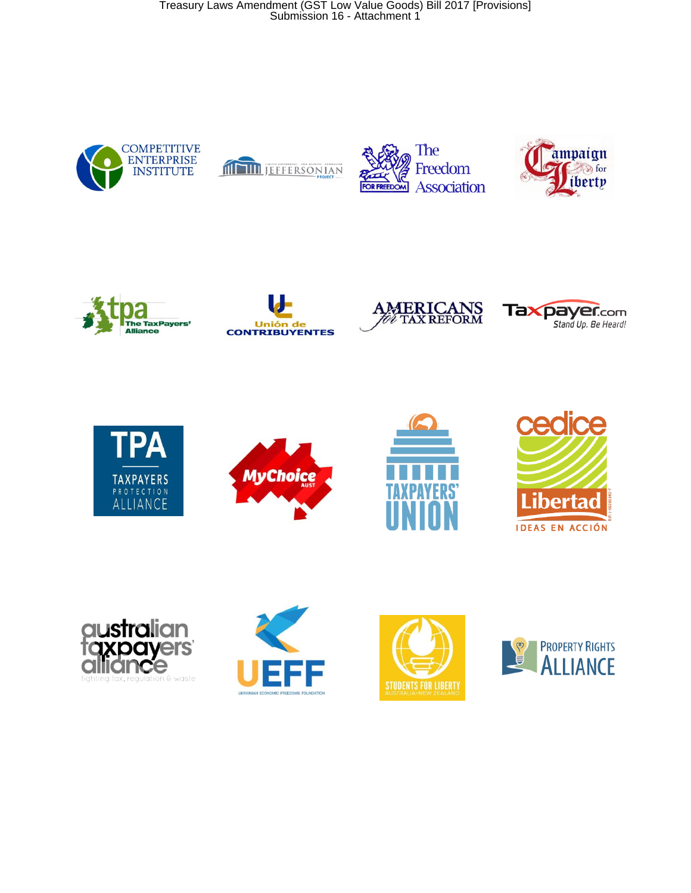Treasury Laws Amendment (GST Low Value Goods) Bill 2017 [Provisions] Submission 16 - Attachment 1





























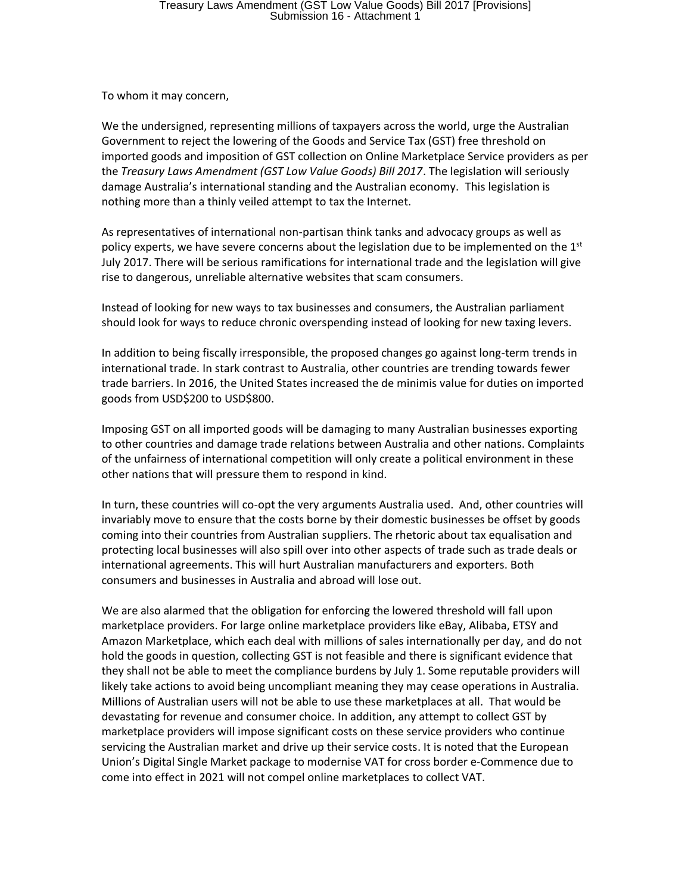To whom it may concern,

We the undersigned, representing millions of taxpayers across the world, urge the Australian Government to reject the lowering of the Goods and Service Tax (GST) free threshold on imported goods and imposition of GST collection on Online Marketplace Service providers as per the *Treasury Laws Amendment (GST Low Value Goods) Bill 2017*. The legislation will seriously damage Australia's international standing and the Australian economy. This legislation is nothing more than a thinly veiled attempt to tax the Internet.

As representatives of international non-partisan think tanks and advocacy groups as well as policy experts, we have severe concerns about the legislation due to be implemented on the  $1<sup>st</sup>$ July 2017. There will be serious ramifications for international trade and the legislation will give rise to dangerous, unreliable alternative websites that scam consumers.

Instead of looking for new ways to tax businesses and consumers, the Australian parliament should look for ways to reduce chronic overspending instead of looking for new taxing levers.

In addition to being fiscally irresponsible, the proposed changes go against long-term trends in international trade. In stark contrast to Australia, other countries are trending towards fewer trade barriers. In 2016, the United States increased the de minimis value for duties on imported goods from USD\$200 to USD\$800.

Imposing GST on all imported goods will be damaging to many Australian businesses exporting to other countries and damage trade relations between Australia and other nations. Complaints of the unfairness of international competition will only create a political environment in these other nations that will pressure them to respond in kind.

In turn, these countries will co-opt the very arguments Australia used. And, other countries will invariably move to ensure that the costs borne by their domestic businesses be offset by goods coming into their countries from Australian suppliers. The rhetoric about tax equalisation and protecting local businesses will also spill over into other aspects of trade such as trade deals or international agreements. This will hurt Australian manufacturers and exporters. Both consumers and businesses in Australia and abroad will lose out.

We are also alarmed that the obligation for enforcing the lowered threshold will fall upon marketplace providers. For large online marketplace providers like eBay, Alibaba, ETSY and Amazon Marketplace, which each deal with millions of sales internationally per day, and do not hold the goods in question, collecting GST is not feasible and there is significant evidence that they shall not be able to meet the compliance burdens by July 1. Some reputable providers will likely take actions to avoid being uncompliant meaning they may cease operations in Australia. Millions of Australian users will not be able to use these marketplaces at all. That would be devastating for revenue and consumer choice. In addition, any attempt to collect GST by marketplace providers will impose significant costs on these service providers who continue servicing the Australian market and drive up their service costs. It is noted that the European Union's Digital Single Market package to modernise VAT for cross border e-Commence due to come into effect in 2021 will not compel online marketplaces to collect VAT.